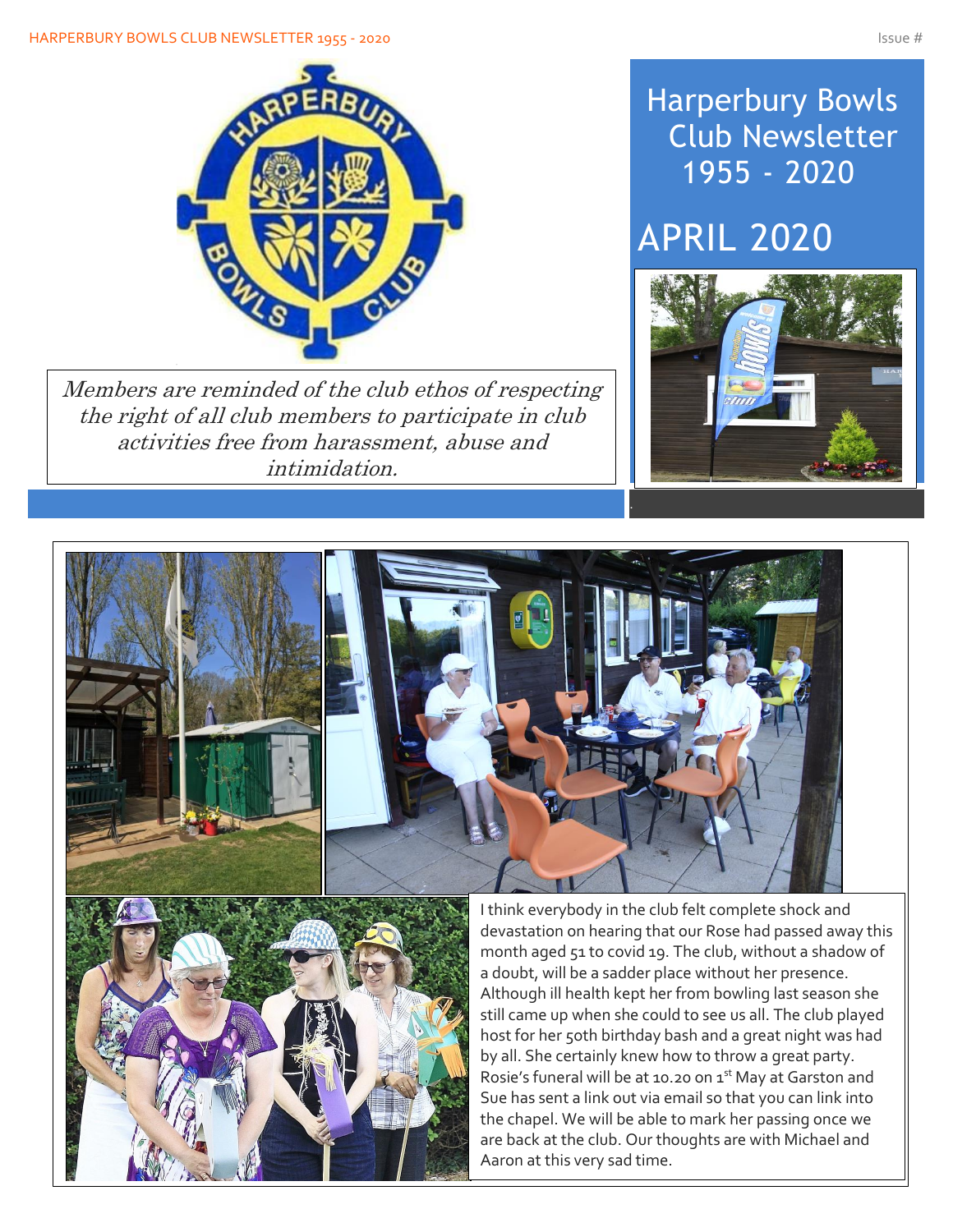#### HARPERBURY BOWLS CLUB NEWSLETTER 1955 - 2020 ISSUE # 1975 - 2020



Members are reminded of the club ethos of respecting the right of all club members to participate in club activities free from harassment, abuse and intimidation.

## Harperbury Bowls Club Newsletter 1955 - 2020

## APRIL 2020





devastation on hearing that our Rose had passed away this month aged 51 to covid 19. The club, without a shadow of Although ill health kept her from bowling last season she still came up when she could to see us all. The club played host for her 5oth birthday bash and a great night was had by all. She certainly knew how to throw a great party. Rosie's funeral will be at 10.20 on 1st May at Garston and Sue has sent a link out via email so that you can link into the chapel. We will be able to mark her passing once we are back at the club. Our thoughts are with Michael and Aaron at this very sad time.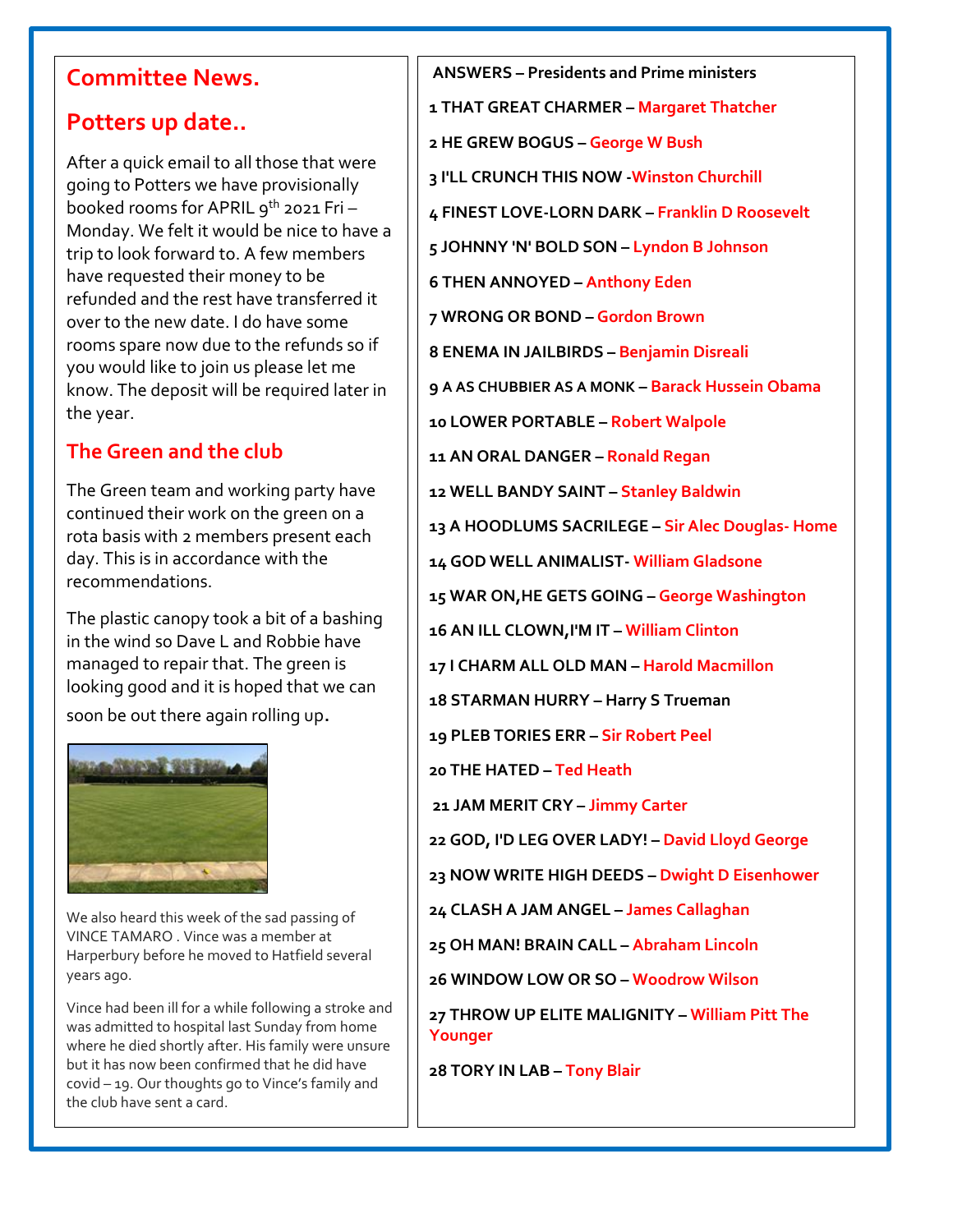### **Committee News.**

#### **Potters up date..**

After a quick email to all those that were going to Potters we have provisionally booked rooms for APRIL  $q^{th}$  2021 Fri -Monday. We felt it would be nice to have a trip to look forward to. A few members have requested their money to be refunded and the rest have transferred it over to the new date. I do have some rooms spare now due to the refunds so if you would like to join us please let me know. The deposit will be required later in the year.

#### **The Green and the club**

The Green team and working party have continued their work on the green on a rota basis with 2 members present each day. This is in accordance with the recommendations.

The plastic canopy took a bit of a bashing in the wind so Dave L and Robbie have managed to repair that. The green is looking good and it is hoped that we can soon be out there again rolling up.



We also heard this week of the sad passing of VINCE TAMARO . Vince was a member at Harperbury before he moved to Hatfield several years ago.

Vince had been ill for a while following a stroke and was admitted to hospital last Sunday from home where he died shortly after. His family were unsure but it has now been confirmed that he did have covid – 19. Our thoughts go to Vince's family and the club have sent a card.

**ANSWERS – Presidents and Prime ministers 1 THAT GREAT CHARMER – Margaret Thatcher 2 HE GREW BOGUS – George W Bush 3 I'LL CRUNCH THIS NOW -Winston Churchill 4 FINEST LOVE-LORN DARK – Franklin D Roosevelt 5 JOHNNY 'N' BOLD SON – Lyndon B Johnson 6 THEN ANNOYED – Anthony Eden 7 WRONG OR BOND – Gordon Brown 8 ENEMA IN JAILBIRDS – Benjamin Disreali 9 A AS CHUBBIER AS A MONK – Barack Hussein Obama 10 LOWER PORTABLE – Robert Walpole 11 AN ORAL DANGER – Ronald Regan 12 WELL BANDY SAINT – Stanley Baldwin 13 A HOODLUMS SACRILEGE – Sir Alec Douglas- Home 14 GOD WELL ANIMALIST- William Gladsone 15 WAR ON,HE GETS GOING – George Washington 16 AN ILL CLOWN,I'M IT – William Clinton 17 I CHARM ALL OLD MAN – Harold Macmillon 18 STARMAN HURRY – Harry S Trueman 19 PLEB TORIES ERR – Sir Robert Peel 20 THE HATED – Ted Heath 21 JAM MERIT CRY – Jimmy Carter 22 GOD, I'D LEG OVER LADY! – David Lloyd George 23 NOW WRITE HIGH DEEDS – Dwight D Eisenhower 24 CLASH A JAM ANGEL – James Callaghan 25 OH MAN! BRAIN CALL – Abraham Lincoln 26 WINDOW LOW OR SO – Woodrow Wilson 27 THROW UP ELITE MALIGNITY – William Pitt The Younger 28 TORY IN LAB – Tony Blair**

**30 MAD RASCAL MONDAY**